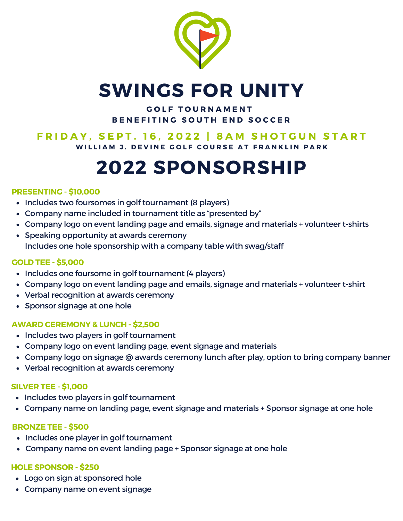

### **SWINGS FOR UNITY**

#### **G O L F T O U R N A M E N T B E N E F I T I N G S O U TH E N D S O C C E R**

### FRIDAY. SEPT. 16. 2022 | 8AM SHOTGUN START

WILLIAM J. DEVINE GOLF COURSE AT FRANKLIN PARK

# **2022 SPONSORSHIP**

#### **PRESENTING - \$10,000**

- Includes two foursomes in golf tournament (8 players)
- Company name included in tournament title as "presented by"
- Company logo on event landing page and emails, signage and materials + volunteer t-shirts
- Speaking opportunity at awards ceremony Includes one hole sponsorship with a company table with swag/staff

#### **GOLD TEE - \$5,000**

- Includes one foursome in golf tournament (4 players)
- Company logo on event landing page and emails, signage and materials + volunteer t-shirt
- Verbal recognition at awards ceremony
- Sponsor signage at one hole

#### **AWARD CEREMONY & LUNCH - \$2,500**

- Includes two players in golf tournament
- Company logo on event landing page, event signage and materials
- Company logo on signage @ awards ceremony lunch after play, option to bring company banner
- Verbal recognition at awards ceremony

#### **SILVER TEE - \$1,000**

- Includes two players in golf tournament
- Company name on landing page, event signage and materials + Sponsor signage at one hole

#### **BRONZE TEE - \$500**

- Includes one player in golf tournament
- Company name on event landing page + Sponsor signage at one hole

#### **HOLE SPONSOR - \$250**

- Logo on sign at sponsored hole
- Company name on event signage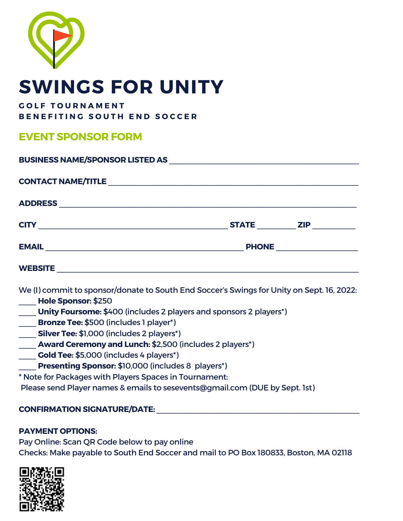

## **SWINGS FOR UNITY**

#### **G O L F T O U R N A M E N T**

**B E N E F I T I N G S O U TH E N D S O C C E R**

#### **EVENT SPONSOR FORM**

| BUSINESS NAME/SPONSOR LISTED AS NAME AND RESERVE AND RESERVE AND RESERVE AND RESERVE AND RESERVE AND RESERVE A         |  |  |
|------------------------------------------------------------------------------------------------------------------------|--|--|
|                                                                                                                        |  |  |
|                                                                                                                        |  |  |
|                                                                                                                        |  |  |
|                                                                                                                        |  |  |
|                                                                                                                        |  |  |
| We (I) commit to sponsor/donate to South End Soccer's Swings for Unity on Sept. 16, 2022:                              |  |  |
| <b>Hole Sponsor: \$250</b>                                                                                             |  |  |
| <b>Unity Foursome:</b> \$400 (includes 2 players and sponsors 2 players*)<br><b>Example:</b> SECO (includes 1 player*) |  |  |
|                                                                                                                        |  |  |
| Silver Tee: \$1,000 (includes 2 players*)                                                                              |  |  |
| <b>Award Ceremony and Lunch: \$2,500 (includes 2 players*)</b>                                                         |  |  |
| Cold Tee: \$5,000 (includes 4 players*)                                                                                |  |  |
| <b>Presenting Sponsor: \$10,000 (includes 8 players*)</b>                                                              |  |  |
| * Note for Packages with Players Spaces in Tournament:                                                                 |  |  |

Please send Player names & emails to sesevents@gmail.com (DUE by Sept. 1st)

#### **CONFIRMATION SIGNATURE/DATE:** \_\_\_\_\_\_\_\_\_\_\_\_\_\_\_\_\_\_\_\_\_\_\_\_\_\_\_\_\_\_\_\_\_\_\_\_\_\_\_\_\_\_\_\_\_\_\_

#### **PAYMENT OPTIONS:**

Pay Online: Scan QR Code below to pay online Checks: Make payable to South End Soccer and mail to PO Box 180833, Boston, MA 02118